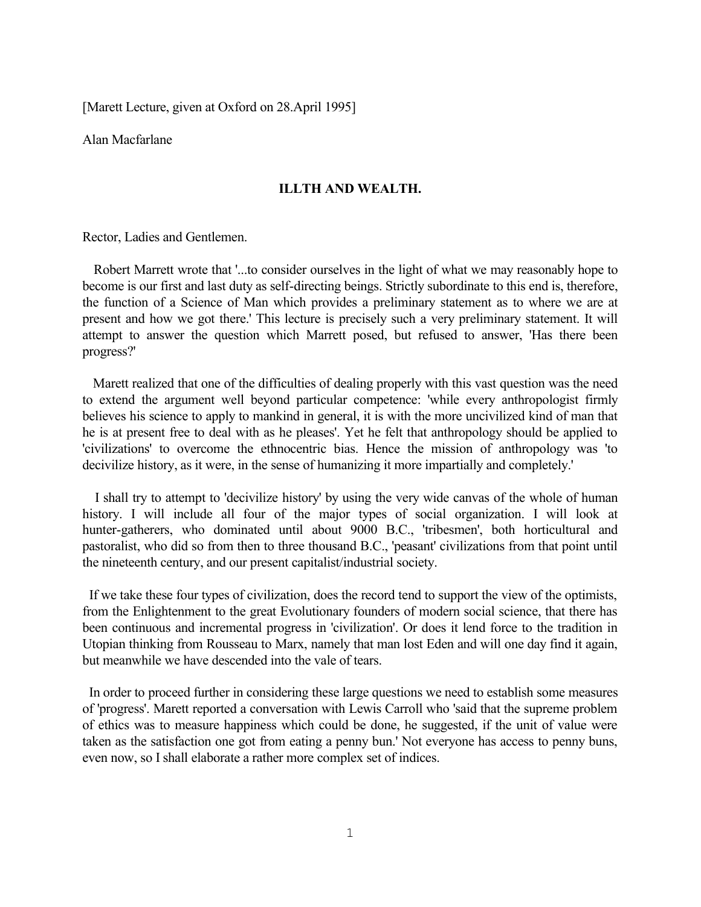[Marett Lecture, given at Oxford on 28.April 1995]

Alan Macfarlane

# **ILLTH AND WEALTH.**

Rector, Ladies and Gentlemen.

Robert Marrett wrote that '...to consider ourselves in the light of what we may reasonably hope to become is our first and last duty as self-directing beings. Strictly subordinate to this end is, therefore, the function of a Science of Man which provides a preliminary statement as to where we are at present and how we got there.' This lecture is precisely such a very preliminary statement. It will attempt to answer the question which Marrett posed, but refused to answer, 'Has there been progress?'

 Marett realized that one of the difficulties of dealing properly with this vast question was the need to extend the argument well beyond particular competence: 'while every anthropologist firmly believes his science to apply to mankind in general, it is with the more uncivilized kind of man that he is at present free to deal with as he pleases'. Yet he felt that anthropology should be applied to 'civilizations' to overcome the ethnocentric bias. Hence the mission of anthropology was 'to decivilize history, as it were, in the sense of humanizing it more impartially and completely.'

I shall try to attempt to 'decivilize history' by using the very wide canvas of the whole of human history. I will include all four of the major types of social organization. I will look at hunter-gatherers, who dominated until about 9000 B.C., 'tribesmen', both horticultural and pastoralist, who did so from then to three thousand B.C., 'peasant' civilizations from that point until the nineteenth century, and our present capitalist/industrial society.

 If we take these four types of civilization, does the record tend to support the view of the optimists, from the Enlightenment to the great Evolutionary founders of modern social science, that there has been continuous and incremental progress in 'civilization'. Or does it lend force to the tradition in Utopian thinking from Rousseau to Marx, namely that man lost Eden and will one day find it again, but meanwhile we have descended into the vale of tears.

In order to proceed further in considering these large questions we need to establish some measures of 'progress'. Marett reported a conversation with Lewis Carroll who 'said that the supreme problem of ethics was to measure happiness which could be done, he suggested, if the unit of value were taken as the satisfaction one got from eating a penny bun.' Not everyone has access to penny buns, even now, so I shall elaborate a rather more complex set of indices.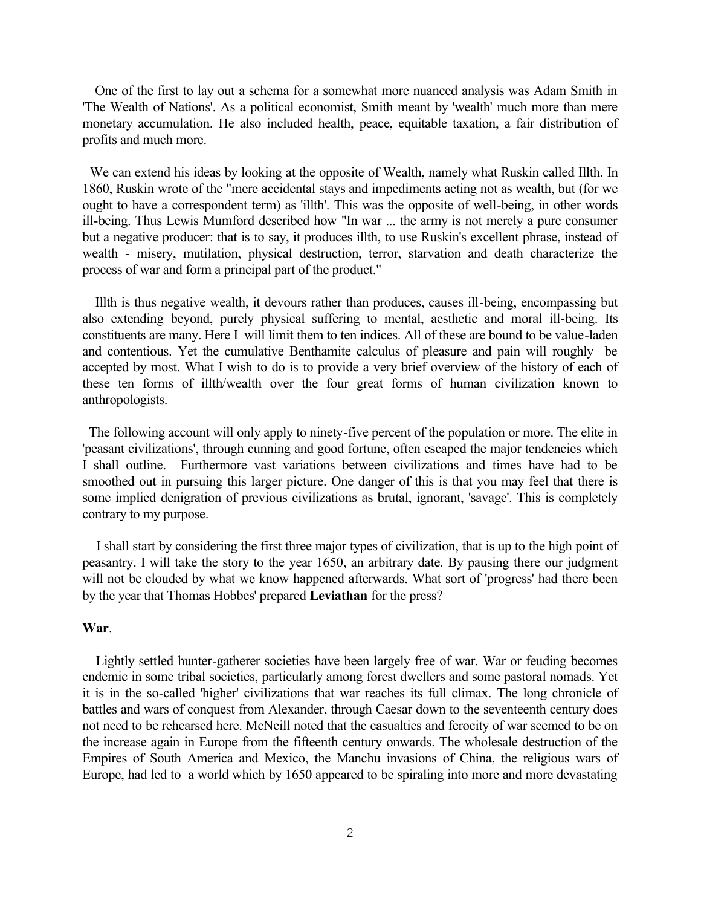One of the first to lay out a schema for a somewhat more nuanced analysis was Adam Smith in 'The Wealth of Nations'. As a political economist, Smith meant by 'wealth' much more than mere monetary accumulation. He also included health, peace, equitable taxation, a fair distribution of profits and much more.

We can extend his ideas by looking at the opposite of Wealth, namely what Ruskin called Illth. In 1860, Ruskin wrote of the "mere accidental stays and impediments acting not as wealth, but (for we ought to have a correspondent term) as 'illth'. This was the opposite of well-being, in other words ill-being. Thus Lewis Mumford described how "In war ... the army is not merely a pure consumer but a negative producer: that is to say, it produces illth, to use Ruskin's excellent phrase, instead of wealth - misery, mutilation, physical destruction, terror, starvation and death characterize the process of war and form a principal part of the product."

Illth is thus negative wealth, it devours rather than produces, causes ill-being, encompassing but also extending beyond, purely physical suffering to mental, aesthetic and moral ill-being. Its constituents are many. Here I will limit them to ten indices. All of these are bound to be value-laden and contentious. Yet the cumulative Benthamite calculus of pleasure and pain will roughly be accepted by most. What I wish to do is to provide a very brief overview of the history of each of these ten forms of illth/wealth over the four great forms of human civilization known to anthropologists.

The following account will only apply to ninety-five percent of the population or more. The elite in 'peasant civilizations', through cunning and good fortune, often escaped the major tendencies which I shall outline. Furthermore vast variations between civilizations and times have had to be smoothed out in pursuing this larger picture. One danger of this is that you may feel that there is some implied denigration of previous civilizations as brutal, ignorant, 'savage'. This is completely contrary to my purpose.

I shall start by considering the first three major types of civilization, that is up to the high point of peasantry. I will take the story to the year 1650, an arbitrary date. By pausing there our judgment will not be clouded by what we know happened afterwards. What sort of 'progress' had there been by the year that Thomas Hobbes' prepared **Leviathan** for the press?

#### **War**.

Lightly settled hunter-gatherer societies have been largely free of war. War or feuding becomes endemic in some tribal societies, particularly among forest dwellers and some pastoral nomads. Yet it is in the so-called 'higher' civilizations that war reaches its full climax. The long chronicle of battles and wars of conquest from Alexander, through Caesar down to the seventeenth century does not need to be rehearsed here. McNeill noted that the casualties and ferocity of war seemed to be on the increase again in Europe from the fifteenth century onwards. The wholesale destruction of the Empires of South America and Mexico, the Manchu invasions of China, the religious wars of Europe, had led to a world which by 1650 appeared to be spiraling into more and more devastating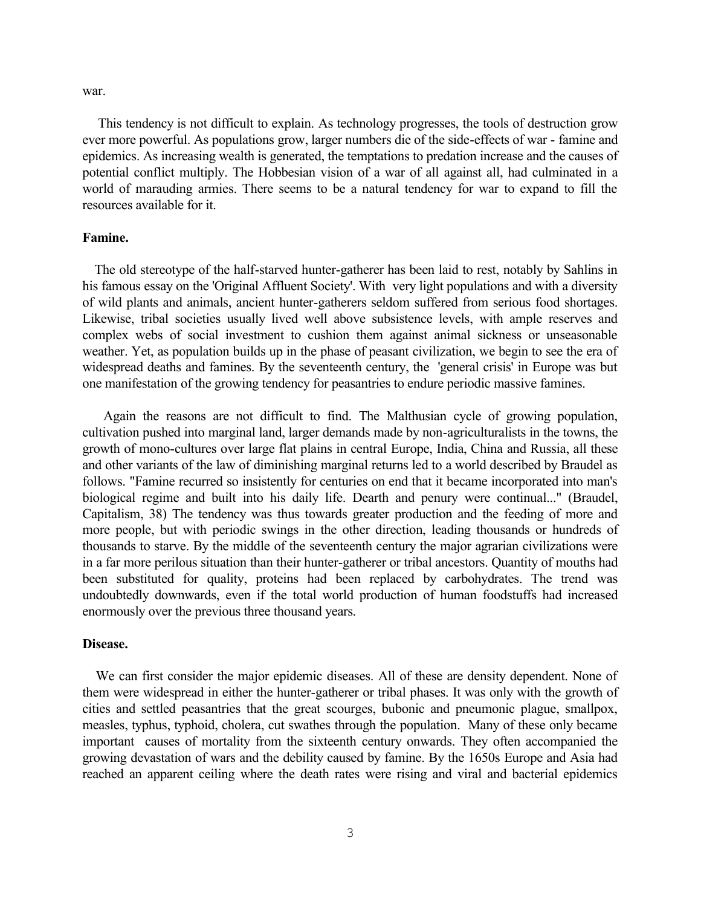war.

This tendency is not difficult to explain. As technology progresses, the tools of destruction grow ever more powerful. As populations grow, larger numbers die of the side-effects of war - famine and epidemics. As increasing wealth is generated, the temptations to predation increase and the causes of potential conflict multiply. The Hobbesian vision of a war of all against all, had culminated in a world of marauding armies. There seems to be a natural tendency for war to expand to fill the resources available for it.

#### **Famine.**

The old stereotype of the half-starved hunter-gatherer has been laid to rest, notably by Sahlins in his famous essay on the 'Original Affluent Society'. With very light populations and with a diversity of wild plants and animals, ancient hunter-gatherers seldom suffered from serious food shortages. Likewise, tribal societies usually lived well above subsistence levels, with ample reserves and complex webs of social investment to cushion them against animal sickness or unseasonable weather. Yet, as population builds up in the phase of peasant civilization, we begin to see the era of widespread deaths and famines. By the seventeenth century, the 'general crisis' in Europe was but one manifestation of the growing tendency for peasantries to endure periodic massive famines.

Again the reasons are not difficult to find. The Malthusian cycle of growing population, cultivation pushed into marginal land, larger demands made by non-agriculturalists in the towns, the growth of mono-cultures over large flat plains in central Europe, India, China and Russia, all these and other variants of the law of diminishing marginal returns led to a world described by Braudel as follows. "Famine recurred so insistently for centuries on end that it became incorporated into man's biological regime and built into his daily life. Dearth and penury were continual..." (Braudel, Capitalism, 38) The tendency was thus towards greater production and the feeding of more and more people, but with periodic swings in the other direction, leading thousands or hundreds of thousands to starve. By the middle of the seventeenth century the major agrarian civilizations were in a far more perilous situation than their hunter-gatherer or tribal ancestors. Quantity of mouths had been substituted for quality, proteins had been replaced by carbohydrates. The trend was undoubtedly downwards, even if the total world production of human foodstuffs had increased enormously over the previous three thousand years.

#### **Disease.**

We can first consider the major epidemic diseases. All of these are density dependent. None of them were widespread in either the hunter-gatherer or tribal phases. It was only with the growth of cities and settled peasantries that the great scourges, bubonic and pneumonic plague, smallpox, measles, typhus, typhoid, cholera, cut swathes through the population. Many of these only became important causes of mortality from the sixteenth century onwards. They often accompanied the growing devastation of wars and the debility caused by famine. By the 1650s Europe and Asia had reached an apparent ceiling where the death rates were rising and viral and bacterial epidemics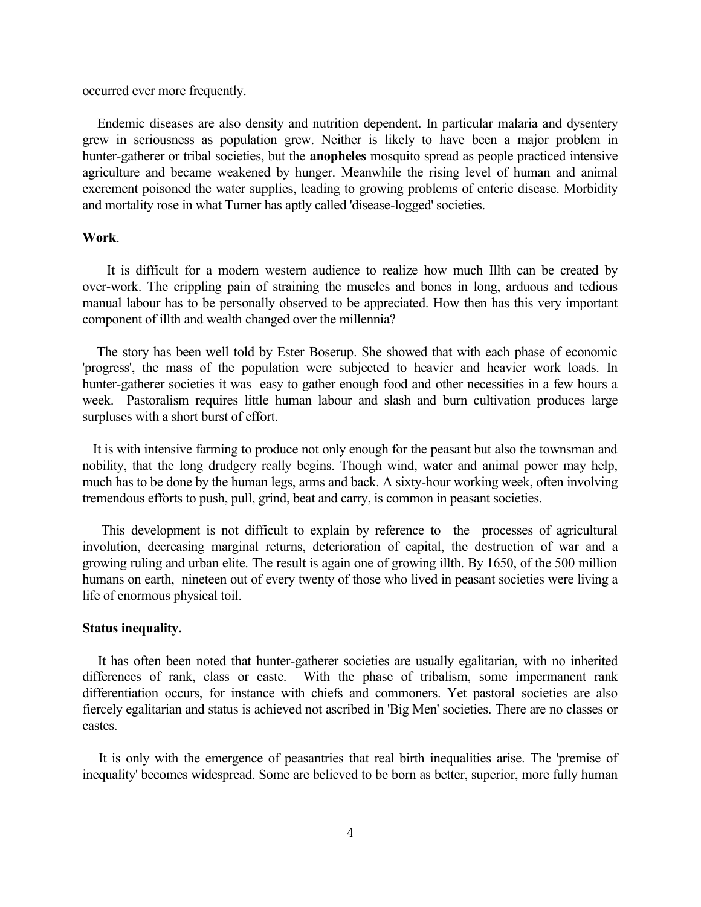#### occurred ever more frequently.

Endemic diseases are also density and nutrition dependent. In particular malaria and dysentery grew in seriousness as population grew. Neither is likely to have been a major problem in hunter-gatherer or tribal societies, but the **anopheles** mosquito spread as people practiced intensive agriculture and became weakened by hunger. Meanwhile the rising level of human and animal excrement poisoned the water supplies, leading to growing problems of enteric disease. Morbidity and mortality rose in what Turner has aptly called 'disease-logged' societies.

# **Work**.

It is difficult for a modern western audience to realize how much Illth can be created by over-work. The crippling pain of straining the muscles and bones in long, arduous and tedious manual labour has to be personally observed to be appreciated. How then has this very important component of illth and wealth changed over the millennia?

The story has been well told by Ester Boserup. She showed that with each phase of economic 'progress', the mass of the population were subjected to heavier and heavier work loads. In hunter-gatherer societies it was easy to gather enough food and other necessities in a few hours a week. Pastoralism requires little human labour and slash and burn cultivation produces large surpluses with a short burst of effort.

 It is with intensive farming to produce not only enough for the peasant but also the townsman and nobility, that the long drudgery really begins. Though wind, water and animal power may help, much has to be done by the human legs, arms and back. A sixty-hour working week, often involving tremendous efforts to push, pull, grind, beat and carry, is common in peasant societies.

This development is not difficult to explain by reference to the processes of agricultural involution, decreasing marginal returns, deterioration of capital, the destruction of war and a growing ruling and urban elite. The result is again one of growing illth. By 1650, of the 500 million humans on earth, nineteen out of every twenty of those who lived in peasant societies were living a life of enormous physical toil.

#### **Status inequality.**

It has often been noted that hunter-gatherer societies are usually egalitarian, with no inherited differences of rank, class or caste. With the phase of tribalism, some impermanent rank differentiation occurs, for instance with chiefs and commoners. Yet pastoral societies are also fiercely egalitarian and status is achieved not ascribed in 'Big Men' societies. There are no classes or castes.

It is only with the emergence of peasantries that real birth inequalities arise. The 'premise of inequality' becomes widespread. Some are believed to be born as better, superior, more fully human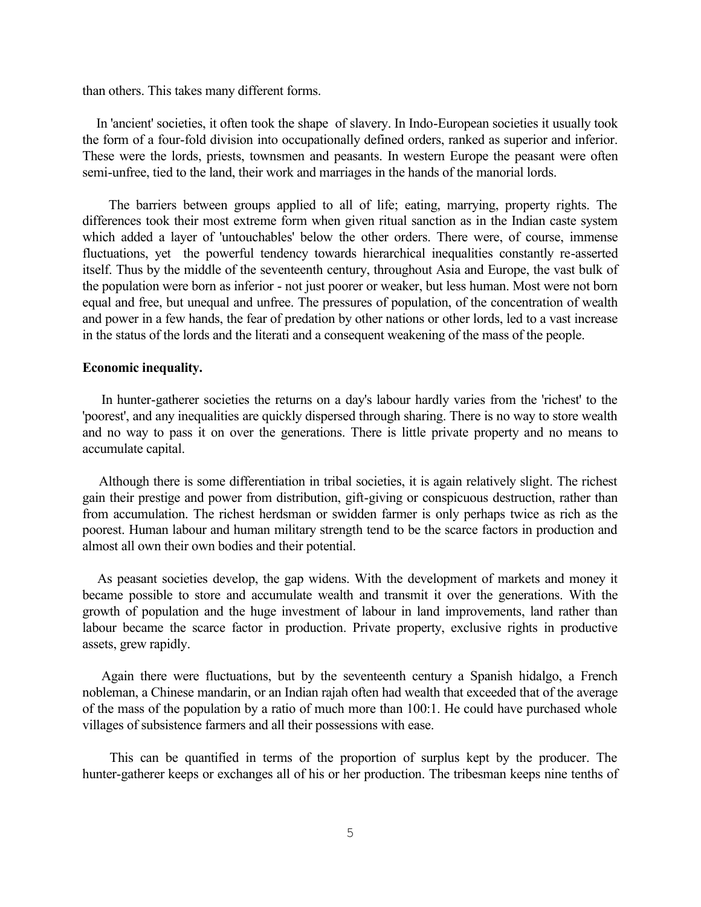than others. This takes many different forms.

In 'ancient' societies, it often took the shape of slavery. In Indo-European societies it usually took the form of a four-fold division into occupationally defined orders, ranked as superior and inferior. These were the lords, priests, townsmen and peasants. In western Europe the peasant were often semi-unfree, tied to the land, their work and marriages in the hands of the manorial lords.

The barriers between groups applied to all of life; eating, marrying, property rights. The differences took their most extreme form when given ritual sanction as in the Indian caste system which added a layer of 'untouchables' below the other orders. There were, of course, immense fluctuations, yet the powerful tendency towards hierarchical inequalities constantly re-asserted itself. Thus by the middle of the seventeenth century, throughout Asia and Europe, the vast bulk of the population were born as inferior - not just poorer or weaker, but less human. Most were not born equal and free, but unequal and unfree. The pressures of population, of the concentration of wealth and power in a few hands, the fear of predation by other nations or other lords, led to a vast increase in the status of the lords and the literati and a consequent weakening of the mass of the people.

### **Economic inequality.**

In hunter-gatherer societies the returns on a day's labour hardly varies from the 'richest' to the 'poorest', and any inequalities are quickly dispersed through sharing. There is no way to store wealth and no way to pass it on over the generations. There is little private property and no means to accumulate capital.

Although there is some differentiation in tribal societies, it is again relatively slight. The richest gain their prestige and power from distribution, gift-giving or conspicuous destruction, rather than from accumulation. The richest herdsman or swidden farmer is only perhaps twice as rich as the poorest. Human labour and human military strength tend to be the scarce factors in production and almost all own their own bodies and their potential.

As peasant societies develop, the gap widens. With the development of markets and money it became possible to store and accumulate wealth and transmit it over the generations. With the growth of population and the huge investment of labour in land improvements, land rather than labour became the scarce factor in production. Private property, exclusive rights in productive assets, grew rapidly.

Again there were fluctuations, but by the seventeenth century a Spanish hidalgo, a French nobleman, a Chinese mandarin, or an Indian rajah often had wealth that exceeded that of the average of the mass of the population by a ratio of much more than 100:1. He could have purchased whole villages of subsistence farmers and all their possessions with ease.

This can be quantified in terms of the proportion of surplus kept by the producer. The hunter-gatherer keeps or exchanges all of his or her production. The tribesman keeps nine tenths of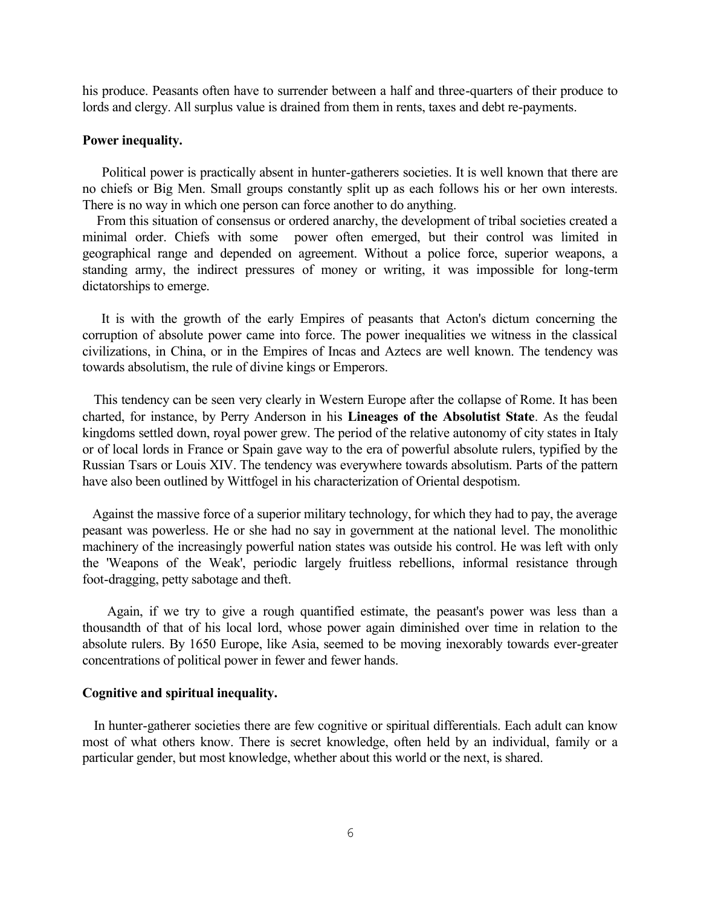his produce. Peasants often have to surrender between a half and three-quarters of their produce to lords and clergy. All surplus value is drained from them in rents, taxes and debt re-payments.

### **Power inequality.**

Political power is practically absent in hunter-gatherers societies. It is well known that there are no chiefs or Big Men. Small groups constantly split up as each follows his or her own interests. There is no way in which one person can force another to do anything.

 From this situation of consensus or ordered anarchy, the development of tribal societies created a minimal order. Chiefs with some power often emerged, but their control was limited in geographical range and depended on agreement. Without a police force, superior weapons, a standing army, the indirect pressures of money or writing, it was impossible for long-term dictatorships to emerge.

It is with the growth of the early Empires of peasants that Acton's dictum concerning the corruption of absolute power came into force. The power inequalities we witness in the classical civilizations, in China, or in the Empires of Incas and Aztecs are well known. The tendency was towards absolutism, the rule of divine kings or Emperors.

This tendency can be seen very clearly in Western Europe after the collapse of Rome. It has been charted, for instance, by Perry Anderson in his **Lineages of the Absolutist State**. As the feudal kingdoms settled down, royal power grew. The period of the relative autonomy of city states in Italy or of local lords in France or Spain gave way to the era of powerful absolute rulers, typified by the Russian Tsars or Louis XIV. The tendency was everywhere towards absolutism. Parts of the pattern have also been outlined by Wittfogel in his characterization of Oriental despotism.

Against the massive force of a superior military technology, for which they had to pay, the average peasant was powerless. He or she had no say in government at the national level. The monolithic machinery of the increasingly powerful nation states was outside his control. He was left with only the 'Weapons of the Weak', periodic largely fruitless rebellions, informal resistance through foot-dragging, petty sabotage and theft.

Again, if we try to give a rough quantified estimate, the peasant's power was less than a thousandth of that of his local lord, whose power again diminished over time in relation to the absolute rulers. By 1650 Europe, like Asia, seemed to be moving inexorably towards ever-greater concentrations of political power in fewer and fewer hands.

### **Cognitive and spiritual inequality.**

In hunter-gatherer societies there are few cognitive or spiritual differentials. Each adult can know most of what others know. There is secret knowledge, often held by an individual, family or a particular gender, but most knowledge, whether about this world or the next, is shared.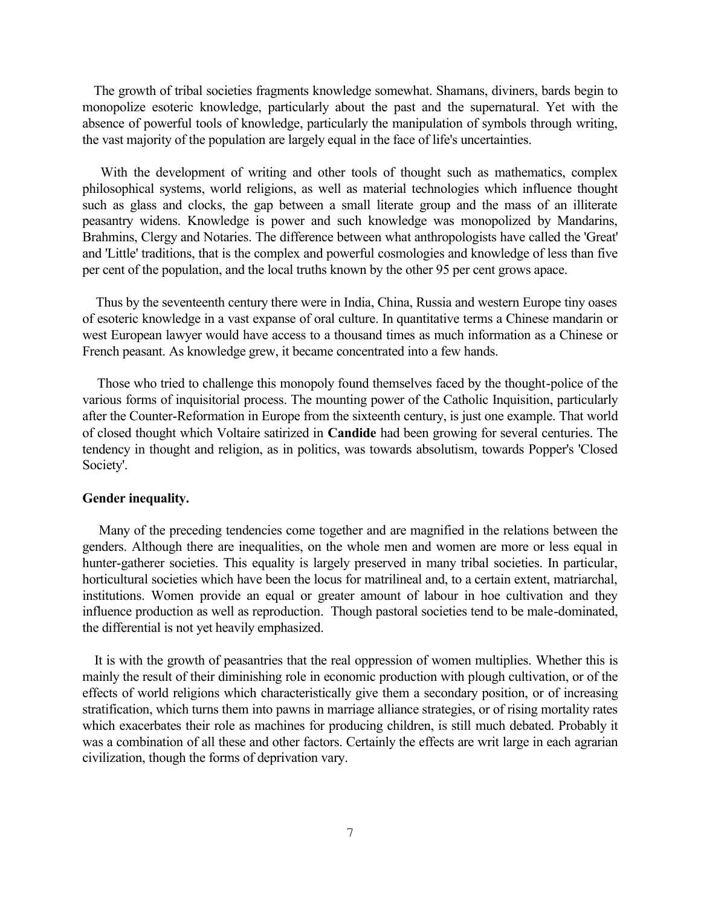The growth of tribal societies fragments knowledge somewhat. Shamans, diviners, bards begin to monopolize esoteric knowledge, particularly about the past and the supernatural. Yet with the absence of powerful tools of knowledge, particularly the manipulation of symbols through writing, the vast majority of the population are largely equal in the face of life's uncertainties.

With the development of writing and other tools of thought such as mathematics, complex philosophical systems, world religions, as well as material technologies which influence thought such as glass and clocks, the gap between a small literate group and the mass of an illiterate peasantry widens. Knowledge is power and such knowledge was monopolized by Mandarins, Brahmins, Clergy and Notaries. The difference between what anthropologists have called the 'Great' and 'Little' traditions, that is the complex and powerful cosmologies and knowledge of less than five per cent of the population, and the local truths known by the other 95 per cent grows apace.

 Thus by the seventeenth century there were in India, China, Russia and western Europe tiny oases of esoteric knowledge in a vast expanse of oral culture. In quantitative terms a Chinese mandarin or west European lawyer would have access to a thousand times as much information as a Chinese or French peasant. As knowledge grew, it became concentrated into a few hands.

Those who tried to challenge this monopoly found themselves faced by the thought-police of the various forms of inquisitorial process. The mounting power of the Catholic Inquisition, particularly after the Counter-Reformation in Europe from the sixteenth century, is just one example. That world of closed thought which Voltaire satirized in **Candide** had been growing for several centuries. The tendency in thought and religion, as in politics, was towards absolutism, towards Popper's 'Closed Society'.

# **Gender inequality.**

Many of the preceding tendencies come together and are magnified in the relations between the genders. Although there are inequalities, on the whole men and women are more or less equal in hunter-gatherer societies. This equality is largely preserved in many tribal societies. In particular, horticultural societies which have been the locus for matrilineal and, to a certain extent, matriarchal, institutions. Women provide an equal or greater amount of labour in hoe cultivation and they influence production as well as reproduction. Though pastoral societies tend to be male-dominated, the differential is not yet heavily emphasized.

It is with the growth of peasantries that the real oppression of women multiplies. Whether this is mainly the result of their diminishing role in economic production with plough cultivation, or of the effects of world religions which characteristically give them a secondary position, or of increasing stratification, which turns them into pawns in marriage alliance strategies, or of rising mortality rates which exacerbates their role as machines for producing children, is still much debated. Probably it was a combination of all these and other factors. Certainly the effects are writ large in each agrarian civilization, though the forms of deprivation vary.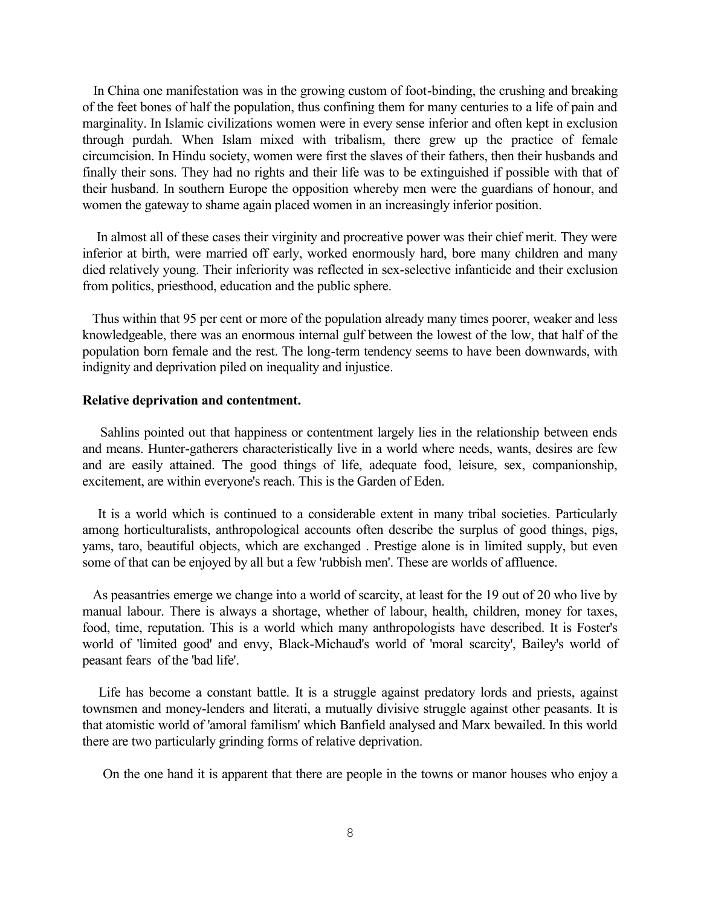In China one manifestation was in the growing custom of foot-binding, the crushing and breaking of the feet bones of half the population, thus confining them for many centuries to a life of pain and marginality. In Islamic civilizations women were in every sense inferior and often kept in exclusion through purdah. When Islam mixed with tribalism, there grew up the practice of female circumcision. In Hindu society, women were first the slaves of their fathers, then their husbands and finally their sons. They had no rights and their life was to be extinguished if possible with that of their husband. In southern Europe the opposition whereby men were the guardians of honour, and women the gateway to shame again placed women in an increasingly inferior position.

 In almost all of these cases their virginity and procreative power was their chief merit. They were inferior at birth, were married off early, worked enormously hard, bore many children and many died relatively young. Their inferiority was reflected in sex-selective infanticide and their exclusion from politics, priesthood, education and the public sphere.

Thus within that 95 per cent or more of the population already many times poorer, weaker and less knowledgeable, there was an enormous internal gulf between the lowest of the low, that half of the population born female and the rest. The long-term tendency seems to have been downwards, with indignity and deprivation piled on inequality and injustice.

# **Relative deprivation and contentment.**

Sahlins pointed out that happiness or contentment largely lies in the relationship between ends and means. Hunter-gatherers characteristically live in a world where needs, wants, desires are few and are easily attained. The good things of life, adequate food, leisure, sex, companionship, excitement, are within everyone's reach. This is the Garden of Eden.

It is a world which is continued to a considerable extent in many tribal societies. Particularly among horticulturalists, anthropological accounts often describe the surplus of good things, pigs, yams, taro, beautiful objects, which are exchanged . Prestige alone is in limited supply, but even some of that can be enjoyed by all but a few 'rubbish men'. These are worlds of affluence.

 As peasantries emerge we change into a world of scarcity, at least for the 19 out of 20 who live by manual labour. There is always a shortage, whether of labour, health, children, money for taxes, food, time, reputation. This is a world which many anthropologists have described. It is Foster's world of 'limited good' and envy, Black-Michaud's world of 'moral scarcity', Bailey's world of peasant fears of the 'bad life'.

Life has become a constant battle. It is a struggle against predatory lords and priests, against townsmen and money-lenders and literati, a mutually divisive struggle against other peasants. It is that atomistic world of 'amoral familism' which Banfield analysed and Marx bewailed. In this world there are two particularly grinding forms of relative deprivation.

On the one hand it is apparent that there are people in the towns or manor houses who enjoy a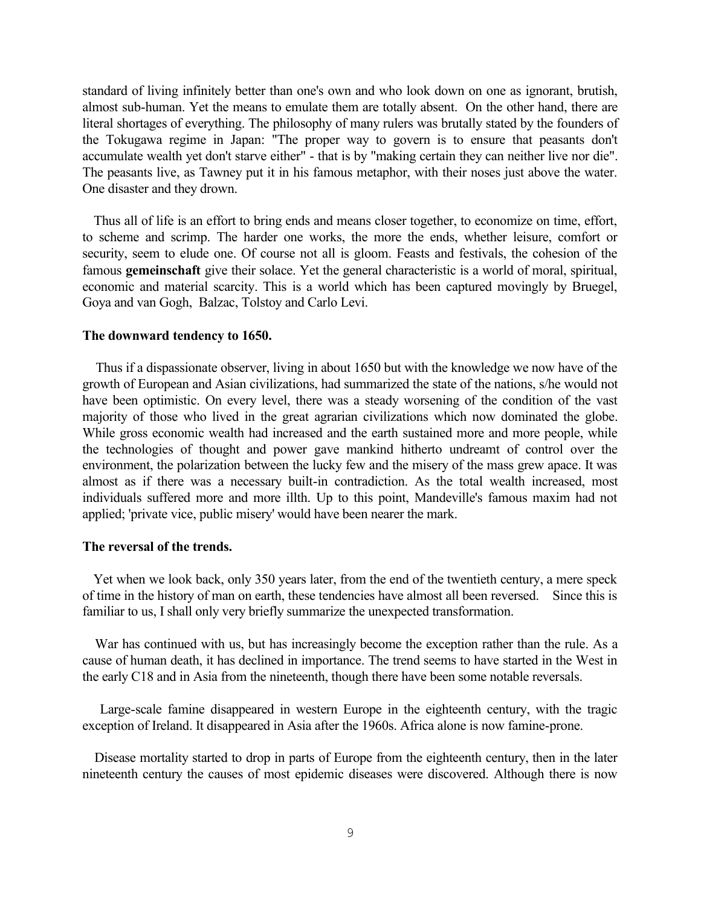standard of living infinitely better than one's own and who look down on one as ignorant, brutish, almost sub-human. Yet the means to emulate them are totally absent. On the other hand, there are literal shortages of everything. The philosophy of many rulers was brutally stated by the founders of the Tokugawa regime in Japan: "The proper way to govern is to ensure that peasants don't accumulate wealth yet don't starve either" - that is by "making certain they can neither live nor die". The peasants live, as Tawney put it in his famous metaphor, with their noses just above the water. One disaster and they drown.

Thus all of life is an effort to bring ends and means closer together, to economize on time, effort, to scheme and scrimp. The harder one works, the more the ends, whether leisure, comfort or security, seem to elude one. Of course not all is gloom. Feasts and festivals, the cohesion of the famous **gemeinschaft** give their solace. Yet the general characteristic is a world of moral, spiritual, economic and material scarcity. This is a world which has been captured movingly by Bruegel, Goya and van Gogh, Balzac, Tolstoy and Carlo Levi.

#### **The downward tendency to 1650.**

Thus if a dispassionate observer, living in about 1650 but with the knowledge we now have of the growth of European and Asian civilizations, had summarized the state of the nations, s/he would not have been optimistic. On every level, there was a steady worsening of the condition of the vast majority of those who lived in the great agrarian civilizations which now dominated the globe. While gross economic wealth had increased and the earth sustained more and more people, while the technologies of thought and power gave mankind hitherto undreamt of control over the environment, the polarization between the lucky few and the misery of the mass grew apace. It was almost as if there was a necessary built-in contradiction. As the total wealth increased, most individuals suffered more and more illth. Up to this point, Mandeville's famous maxim had not applied; 'private vice, public misery' would have been nearer the mark.

### **The reversal of the trends.**

Yet when we look back, only 350 years later, from the end of the twentieth century, a mere speck of time in the history of man on earth, these tendencies have almost all been reversed. Since this is familiar to us, I shall only very briefly summarize the unexpected transformation.

War has continued with us, but has increasingly become the exception rather than the rule. As a cause of human death, it has declined in importance. The trend seems to have started in the West in the early C18 and in Asia from the nineteenth, though there have been some notable reversals.

Large-scale famine disappeared in western Europe in the eighteenth century, with the tragic exception of Ireland. It disappeared in Asia after the 1960s. Africa alone is now famine-prone.

Disease mortality started to drop in parts of Europe from the eighteenth century, then in the later nineteenth century the causes of most epidemic diseases were discovered. Although there is now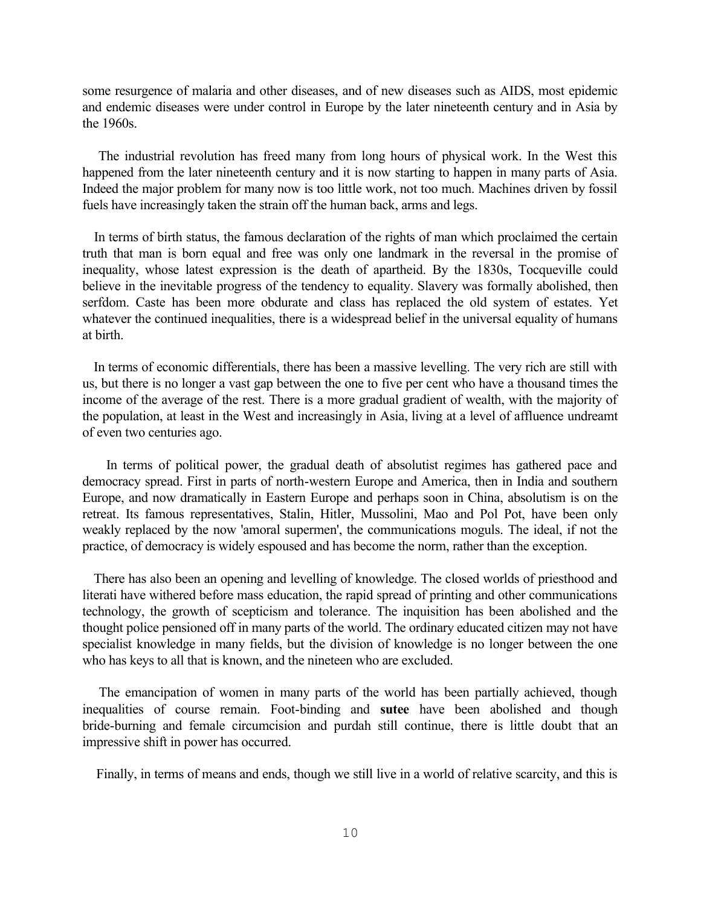some resurgence of malaria and other diseases, and of new diseases such as AIDS, most epidemic and endemic diseases were under control in Europe by the later nineteenth century and in Asia by the 1960s.

The industrial revolution has freed many from long hours of physical work. In the West this happened from the later nineteenth century and it is now starting to happen in many parts of Asia. Indeed the major problem for many now is too little work, not too much. Machines driven by fossil fuels have increasingly taken the strain off the human back, arms and legs.

In terms of birth status, the famous declaration of the rights of man which proclaimed the certain truth that man is born equal and free was only one landmark in the reversal in the promise of inequality, whose latest expression is the death of apartheid. By the 1830s, Tocqueville could believe in the inevitable progress of the tendency to equality. Slavery was formally abolished, then serfdom. Caste has been more obdurate and class has replaced the old system of estates. Yet whatever the continued inequalities, there is a widespread belief in the universal equality of humans at birth.

In terms of economic differentials, there has been a massive levelling. The very rich are still with us, but there is no longer a vast gap between the one to five per cent who have a thousand times the income of the average of the rest. There is a more gradual gradient of wealth, with the majority of the population, at least in the West and increasingly in Asia, living at a level of affluence undreamt of even two centuries ago.

In terms of political power, the gradual death of absolutist regimes has gathered pace and democracy spread. First in parts of north-western Europe and America, then in India and southern Europe, and now dramatically in Eastern Europe and perhaps soon in China, absolutism is on the retreat. Its famous representatives, Stalin, Hitler, Mussolini, Mao and Pol Pot, have been only weakly replaced by the now 'amoral supermen', the communications moguls. The ideal, if not the practice, of democracy is widely espoused and has become the norm, rather than the exception.

There has also been an opening and levelling of knowledge. The closed worlds of priesthood and literati have withered before mass education, the rapid spread of printing and other communications technology, the growth of scepticism and tolerance. The inquisition has been abolished and the thought police pensioned off in many parts of the world. The ordinary educated citizen may not have specialist knowledge in many fields, but the division of knowledge is no longer between the one who has keys to all that is known, and the nineteen who are excluded.

The emancipation of women in many parts of the world has been partially achieved, though inequalities of course remain. Foot-binding and **sutee** have been abolished and though bride-burning and female circumcision and purdah still continue, there is little doubt that an impressive shift in power has occurred.

Finally, in terms of means and ends, though we still live in a world of relative scarcity, and this is